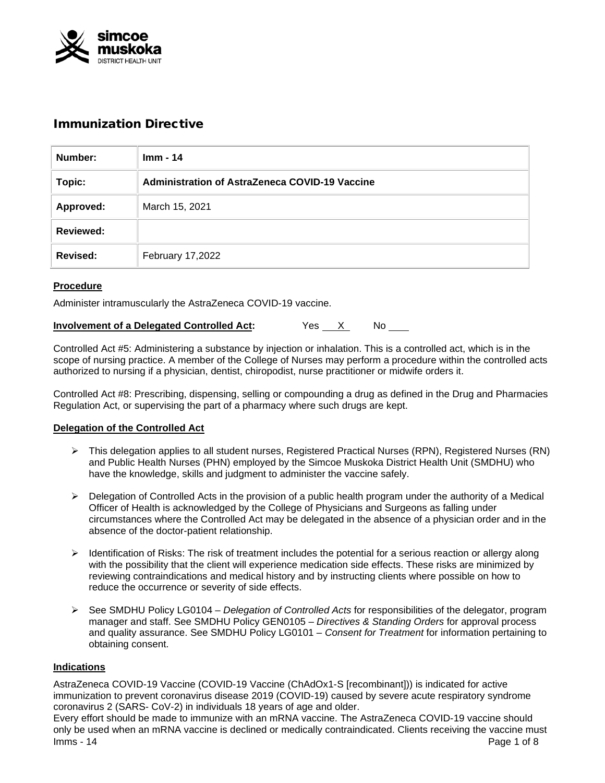

# Immunization Directive

| Number:          | $Imm - 14$                                            |
|------------------|-------------------------------------------------------|
| Topic:           | <b>Administration of AstraZeneca COVID-19 Vaccine</b> |
| Approved:        | March 15, 2021                                        |
| <b>Reviewed:</b> |                                                       |
| <b>Revised:</b>  | February 17,2022                                      |

# **Procedure**

Administer intramuscularly the AstraZeneca COVID-19 vaccine.

| <b>Involvement of a Delegated Controlled Act:</b> |
|---------------------------------------------------|
|                                                   |

Controlled Act #5: Administering a substance by injection or inhalation. This is a controlled act, which is in the scope of nursing practice. A member of the College of Nurses may perform a procedure within the controlled acts authorized to nursing if a physician, dentist, chiropodist, nurse practitioner or midwife orders it.

Controlled Act #8: Prescribing, dispensing, selling or compounding a drug as defined in the Drug and Pharmacies Regulation Act, or supervising the part of a pharmacy where such drugs are kept.

## **Delegation of the Controlled Act**

- $\triangleright$  This delegation applies to all student nurses, Registered Practical Nurses (RPN), Registered Nurses (RN) and Public Health Nurses (PHN) employed by the Simcoe Muskoka District Health Unit (SMDHU) who have the knowledge, skills and judgment to administer the vaccine safely.
- $\triangleright$  Delegation of Controlled Acts in the provision of a public health program under the authority of a Medical Officer of Health is acknowledged by the College of Physicians and Surgeons as falling under circumstances where the Controlled Act may be delegated in the absence of a physician order and in the absence of the doctor-patient relationship.
- $\triangleright$  Identification of Risks: The risk of treatment includes the potential for a serious reaction or allergy along with the possibility that the client will experience medication side effects. These risks are minimized by reviewing contraindications and medical history and by instructing clients where possible on how to reduce the occurrence or severity of side effects.
- See SMDHU Policy LG0104 *Delegation of Controlled Acts* for responsibilities of the delegator, program manager and staff. See SMDHU Policy GEN0105 – *Directives & Standing Orders* for approval process and quality assurance. See SMDHU Policy LG0101 – *Consent for Treatment* for information pertaining to obtaining consent.

## **Indications**

AstraZeneca COVID-19 Vaccine (COVID-19 Vaccine (ChAdOx1-S [recombinant])) is indicated for active immunization to prevent coronavirus disease 2019 (COVID-19) caused by severe acute respiratory syndrome coronavirus 2 (SARS- CoV-2) in individuals 18 years of age and older.

Imms - 14 Page 1 of 8 Every effort should be made to immunize with an mRNA vaccine. The AstraZeneca COVID-19 vaccine should only be used when an mRNA vaccine is declined or medically contraindicated. Clients receiving the vaccine must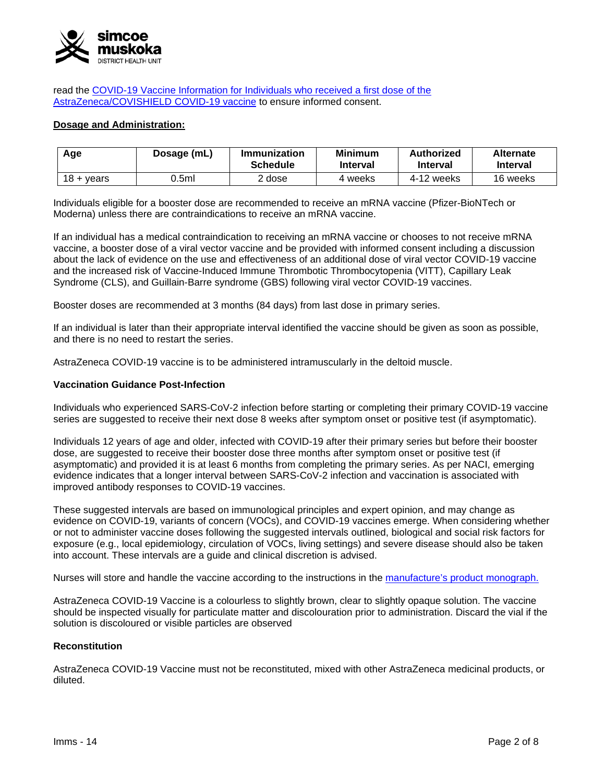

read the COVID-19 Vaccine Information for [Individuals who received a first dose of](https://www.health.gov.on.ca/en/pro/programs/publichealth/coronavirus/docs/vaccine/COVID-19_vaccine_info_AZ_2nd_dose.pdf) the [AstraZeneca/COVISHIELD COVID-19](https://www.health.gov.on.ca/en/pro/programs/publichealth/coronavirus/docs/vaccine/COVID-19_vaccine_info_AZ_2nd_dose.pdf) vaccine to ensure informed consent.

#### **Dosage and Administration:**

| Age                   | Dosage (mL) | Immunization<br><b>Schedule</b> | <b>Minimum</b><br><b>Interval</b> | Authorized<br><b>Interval</b> | <b>Alternate</b><br><b>Interval</b> |
|-----------------------|-------------|---------------------------------|-----------------------------------|-------------------------------|-------------------------------------|
| $18 + \mathrm{years}$ | 0.5ml       | dose                            | 4 weeks                           | 4-12 weeks                    | 16 weeks                            |

Individuals eligible for a booster dose are recommended to receive an mRNA vaccine (Pfizer-BioNTech or Moderna) unless there are contraindications to receive an mRNA vaccine.

If an individual has a medical contraindication to receiving an mRNA vaccine or chooses to not receive mRNA vaccine, a booster dose of a viral vector vaccine and be provided with informed consent including a discussion about the lack of evidence on the use and effectiveness of an additional dose of viral vector COVID-19 vaccine and the increased risk of Vaccine-Induced Immune Thrombotic Thrombocytopenia (VITT), Capillary Leak Syndrome (CLS), and Guillain-Barre syndrome (GBS) following viral vector COVID-19 vaccines.

Booster doses are recommended at 3 months (84 days) from last dose in primary series.

If an individual is later than their appropriate interval identified the vaccine should be given as soon as possible, and there is no need to restart the series.

AstraZeneca COVID-19 vaccine is to be administered intramuscularly in the deltoid muscle.

#### **Vaccination Guidance Post-Infection**

Individuals who experienced SARS-CoV-2 infection before starting or completing their primary COVID-19 vaccine series are suggested to receive their next dose 8 weeks after symptom onset or positive test (if asymptomatic).

Individuals 12 years of age and older, infected with COVID-19 after their primary series but before their booster dose, are suggested to receive their booster dose three months after symptom onset or positive test (if asymptomatic) and provided it is at least 6 months from completing the primary series. As per NACI, emerging evidence indicates that a longer interval between SARS-CoV-2 infection and vaccination is associated with improved antibody responses to COVID-19 vaccines.

These suggested intervals are based on immunological principles and expert opinion, and may change as evidence on COVID-19, variants of concern (VOCs), and COVID-19 vaccines emerge. When considering whether or not to administer vaccine doses following the suggested intervals outlined, biological and social risk factors for exposure (e.g., local epidemiology, circulation of VOCs, living settings) and severe disease should also be taken into account. These intervals are a guide and clinical discretion is advised.

Nurses will store and handle the vaccine according to the instructions in the [manufacture's product monograph.](https://covid-vaccine.canada.ca/info/pdf/astrazeneca-covid-19-vaccine-pm-en.pdf)

AstraZeneca COVID-19 Vaccine is a colourless to slightly brown, clear to slightly opaque solution. The vaccine should be inspected visually for particulate matter and discolouration prior to administration. Discard the vial if the solution is discoloured or visible particles are observed

#### **Reconstitution**

AstraZeneca COVID-19 Vaccine must not be reconstituted, mixed with other AstraZeneca medicinal products, or diluted.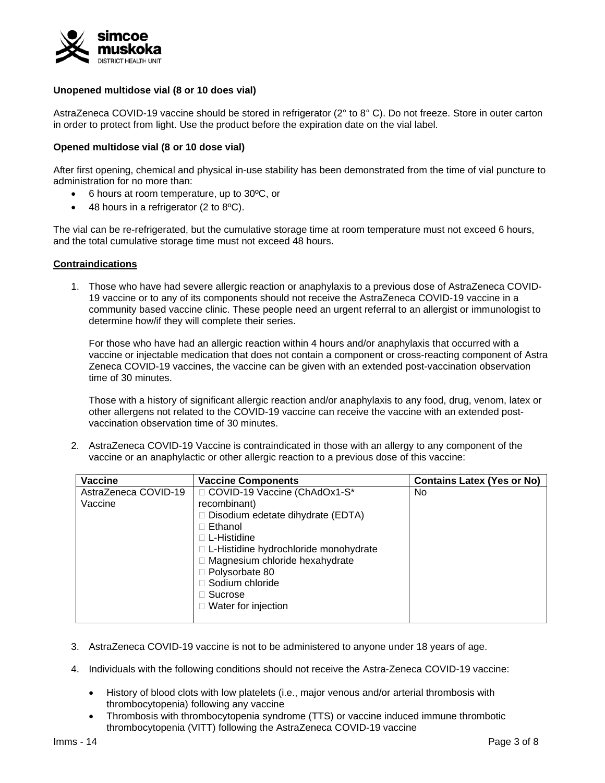

## **Unopened multidose vial (8 or 10 does vial)**

AstraZeneca COVID-19 vaccine should be stored in refrigerator (2° to 8° C). Do not freeze. Store in outer carton in order to protect from light. Use the product before the expiration date on the vial label.

## **Opened multidose vial (8 or 10 dose vial)**

After first opening, chemical and physical in-use stability has been demonstrated from the time of vial puncture to administration for no more than:

- 6 hours at room temperature, up to 30ºC, or
- 48 hours in a refrigerator (2 to 8ºC).

The vial can be re-refrigerated, but the cumulative storage time at room temperature must not exceed 6 hours, and the total cumulative storage time must not exceed 48 hours.

## **Contraindications**

1. Those who have had severe allergic reaction or anaphylaxis to a previous dose of AstraZeneca COVID-19 vaccine or to any of its components should not receive the AstraZeneca COVID-19 vaccine in a community based vaccine clinic. These people need an urgent referral to an allergist or immunologist to determine how/if they will complete their series.

For those who have had an allergic reaction within 4 hours and/or anaphylaxis that occurred with a vaccine or injectable medication that does not contain a component or cross-reacting component of Astra Zeneca COVID-19 vaccines, the vaccine can be given with an extended post-vaccination observation time of 30 minutes.

Those with a history of significant allergic reaction and/or anaphylaxis to any food, drug, venom, latex or other allergens not related to the COVID-19 vaccine can receive the vaccine with an extended postvaccination observation time of 30 minutes.

2. AstraZeneca COVID-19 Vaccine is contraindicated in those with an allergy to any component of the vaccine or an anaphylactic or other allergic reaction to a previous dose of this vaccine:

| <b>Vaccine</b>       | <b>Vaccine Components</b>                | <b>Contains Latex (Yes or No)</b> |
|----------------------|------------------------------------------|-----------------------------------|
| AstraZeneca COVID-19 | □ COVID-19 Vaccine (ChAdOx1-S*           | No.                               |
| Vaccine              | recombinant)                             |                                   |
|                      | $\Box$ Disodium edetate dihydrate (EDTA) |                                   |
|                      | $\Box$ Ethanol                           |                                   |
|                      | □ L-Histidine                            |                                   |
|                      | □ L-Histidine hydrochloride monohydrate  |                                   |
|                      | □ Magnesium chloride hexahydrate         |                                   |
|                      | $\Box$ Polysorbate 80                    |                                   |
|                      | □ Sodium chloride                        |                                   |
|                      | $\Box$ Sucrose                           |                                   |
|                      | $\Box$ Water for injection               |                                   |
|                      |                                          |                                   |

- 3. AstraZeneca COVID-19 vaccine is not to be administered to anyone under 18 years of age.
- 4. Individuals with the following conditions should not receive the Astra-Zeneca COVID-19 vaccine:
	- History of blood clots with low platelets (i.e., major venous and/or arterial thrombosis with thrombocytopenia) following any vaccine
	- Thrombosis with thrombocytopenia syndrome (TTS) or vaccine induced immune thrombotic thrombocytopenia (VITT) following the AstraZeneca COVID-19 vaccine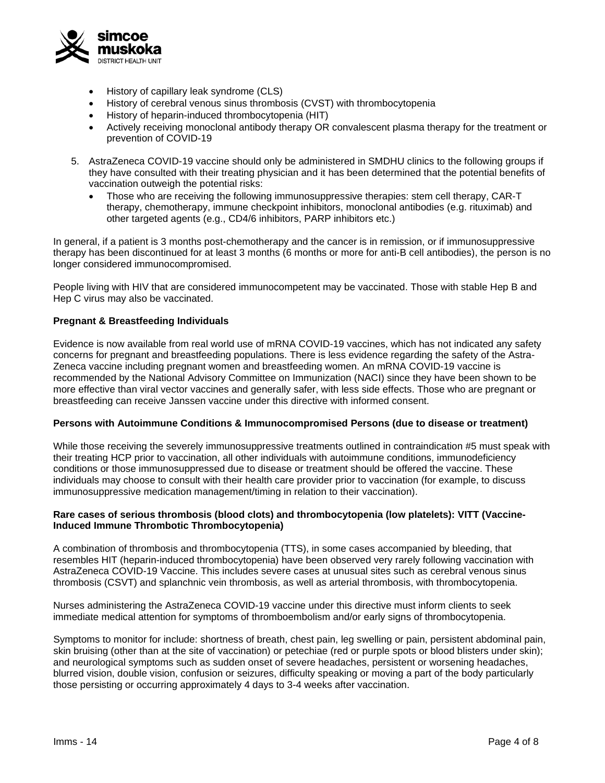

- History of capillary leak syndrome (CLS)
- History of cerebral venous sinus thrombosis (CVST) with thrombocytopenia
- History of heparin-induced thrombocytopenia (HIT)
- Actively receiving monoclonal antibody therapy OR convalescent plasma therapy for the treatment or prevention of COVID-19
- 5. AstraZeneca COVID-19 vaccine should only be administered in SMDHU clinics to the following groups if they have consulted with their treating physician and it has been determined that the potential benefits of vaccination outweigh the potential risks:
	- Those who are receiving the following immunosuppressive therapies: stem cell therapy, CAR-T therapy, chemotherapy, immune checkpoint inhibitors, monoclonal antibodies (e.g. rituximab) and other targeted agents (e.g., CD4/6 inhibitors, PARP inhibitors etc.)

In general, if a patient is 3 months post-chemotherapy and the cancer is in remission, or if immunosuppressive therapy has been discontinued for at least 3 months (6 months or more for anti-B cell antibodies), the person is no longer considered immunocompromised.

People living with HIV that are considered immunocompetent may be vaccinated. Those with stable Hep B and Hep C virus may also be vaccinated.

# **Pregnant & Breastfeeding Individuals**

Evidence is now available from real world use of mRNA COVID-19 vaccines, which has not indicated any safety concerns for pregnant and breastfeeding populations. There is less evidence regarding the safety of the Astra-Zeneca vaccine including pregnant women and breastfeeding women. An mRNA COVID-19 vaccine is recommended by the National Advisory Committee on Immunization (NACI) since they have been shown to be more effective than viral vector vaccines and generally safer, with less side effects. Those who are pregnant or breastfeeding can receive Janssen vaccine under this directive with informed consent.

## **Persons with Autoimmune Conditions & Immunocompromised Persons (due to disease or treatment)**

While those receiving the severely immunosuppressive treatments outlined in contraindication #5 must speak with their treating HCP prior to vaccination, all other individuals with autoimmune conditions, immunodeficiency conditions or those immunosuppressed due to disease or treatment should be offered the vaccine. These individuals may choose to consult with their health care provider prior to vaccination (for example, to discuss immunosuppressive medication management/timing in relation to their vaccination).

## **Rare cases of serious thrombosis (blood clots) and thrombocytopenia (low platelets): VITT (Vaccine-Induced Immune Thrombotic Thrombocytopenia)**

A combination of thrombosis and thrombocytopenia (TTS), in some cases accompanied by bleeding, that resembles HIT (heparin-induced thrombocytopenia) have been observed very rarely following vaccination with AstraZeneca COVID-19 Vaccine. This includes severe cases at unusual sites such as cerebral venous sinus thrombosis (CSVT) and splanchnic vein thrombosis, as well as arterial thrombosis, with thrombocytopenia.

Nurses administering the AstraZeneca COVID-19 vaccine under this directive must inform clients to seek immediate medical attention for symptoms of thromboembolism and/or early signs of thrombocytopenia.

Symptoms to monitor for include: shortness of breath, chest pain, leg swelling or pain, persistent abdominal pain, skin bruising (other than at the site of vaccination) or petechiae (red or purple spots or blood blisters under skin); and neurological symptoms such as sudden onset of severe headaches, persistent or worsening headaches, blurred vision, double vision, confusion or seizures, difficulty speaking or moving a part of the body particularly those persisting or occurring approximately 4 days to 3-4 weeks after vaccination.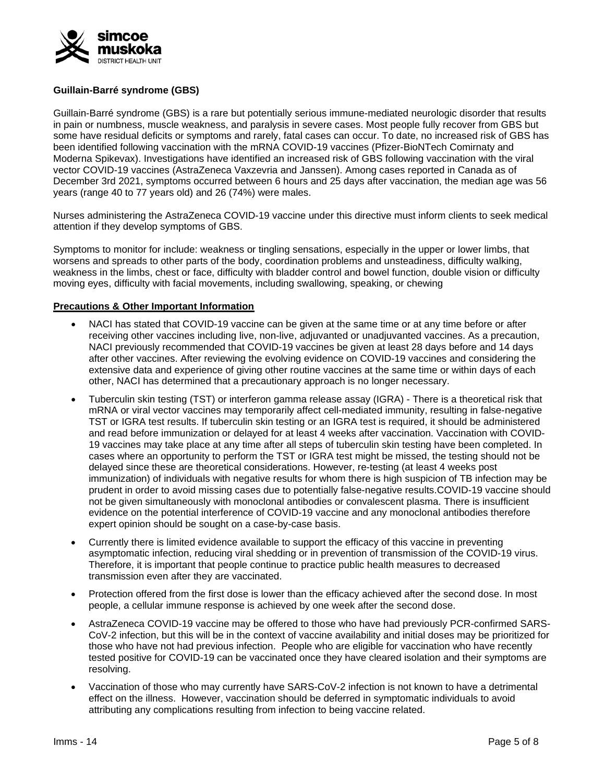

# **Guillain-Barré syndrome (GBS)**

Guillain-Barré syndrome (GBS) is a rare but potentially serious immune-mediated neurologic disorder that results in pain or numbness, muscle weakness, and paralysis in severe cases. Most people fully recover from GBS but some have residual deficits or symptoms and rarely, fatal cases can occur. To date, no increased risk of GBS has been identified following vaccination with the mRNA COVID-19 vaccines (Pfizer-BioNTech Comirnaty and Moderna Spikevax). Investigations have identified an increased risk of GBS following vaccination with the viral vector COVID-19 vaccines (AstraZeneca Vaxzevria and Janssen). Among cases reported in Canada as of December 3rd 2021, symptoms occurred between 6 hours and 25 days after vaccination, the median age was 56 years (range 40 to 77 years old) and 26 (74%) were males.

Nurses administering the AstraZeneca COVID-19 vaccine under this directive must inform clients to seek medical attention if they develop symptoms of GBS.

Symptoms to monitor for include: weakness or tingling sensations, especially in the upper or lower limbs, that worsens and spreads to other parts of the body, coordination problems and unsteadiness, difficulty walking, weakness in the limbs, chest or face, difficulty with bladder control and bowel function, double vision or difficulty moving eyes, difficulty with facial movements, including swallowing, speaking, or chewing

## **Precautions & Other Important Information**

- NACI has stated that COVID-19 vaccine can be given at the same time or at any time before or after receiving other vaccines including live, non-live, adjuvanted or unadjuvanted vaccines. As a precaution, NACI previously recommended that COVID-19 vaccines be given at least 28 days before and 14 days after other vaccines. After reviewing the evolving evidence on COVID-19 vaccines and considering the extensive data and experience of giving other routine vaccines at the same time or within days of each other, NACI has determined that a precautionary approach is no longer necessary.
- Tuberculin skin testing (TST) or interferon gamma release assay (IGRA) There is a theoretical risk that mRNA or viral vector vaccines may temporarily affect cell-mediated immunity, resulting in false-negative TST or IGRA test results. If tuberculin skin testing or an IGRA test is required, it should be administered and read before immunization or delayed for at least 4 weeks after vaccination. Vaccination with COVID-19 vaccines may take place at any time after all steps of tuberculin skin testing have been completed. In cases where an opportunity to perform the TST or IGRA test might be missed, the testing should not be delayed since these are theoretical considerations. However, re-testing (at least 4 weeks post immunization) of individuals with negative results for whom there is high suspicion of TB infection may be prudent in order to avoid missing cases due to potentially false-negative results.COVID-19 vaccine should not be given simultaneously with monoclonal antibodies or convalescent plasma. There is insufficient evidence on the potential interference of COVID-19 vaccine and any monoclonal antibodies therefore expert opinion should be sought on a case-by-case basis.
- Currently there is limited evidence available to support the efficacy of this vaccine in preventing asymptomatic infection, reducing viral shedding or in prevention of transmission of the COVID-19 virus. Therefore, it is important that people continue to practice public health measures to decreased transmission even after they are vaccinated.
- Protection offered from the first dose is lower than the efficacy achieved after the second dose. In most people, a cellular immune response is achieved by one week after the second dose.
- AstraZeneca COVID-19 vaccine may be offered to those who have had previously PCR-confirmed SARS-CoV-2 infection, but this will be in the context of vaccine availability and initial doses may be prioritized for those who have not had previous infection. People who are eligible for vaccination who have recently tested positive for COVID-19 can be vaccinated once they have cleared isolation and their symptoms are resolving.
- Vaccination of those who may currently have SARS-CoV-2 infection is not known to have a detrimental effect on the illness. However, vaccination should be deferred in symptomatic individuals to avoid attributing any complications resulting from infection to being vaccine related.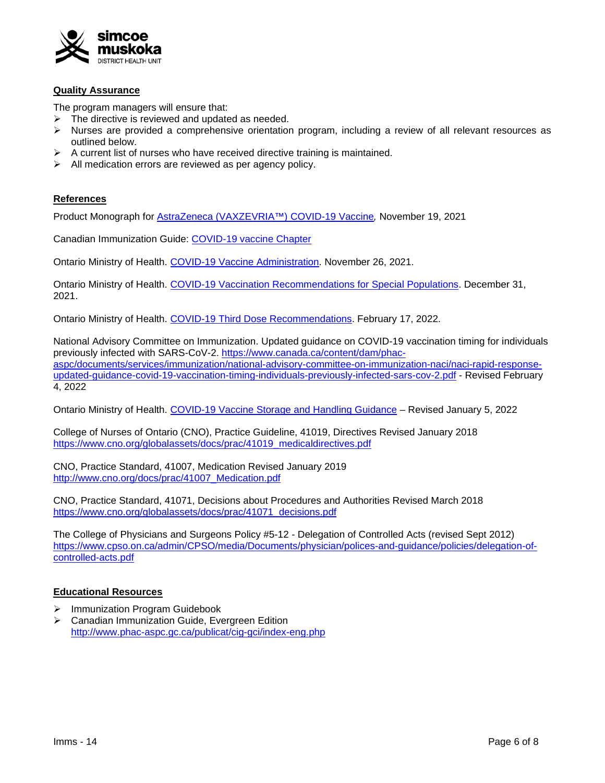

#### **Quality Assurance**

The program managers will ensure that:

- $\triangleright$  The directive is reviewed and updated as needed.
- $\triangleright$  Nurses are provided a comprehensive orientation program, including a review of all relevant resources as outlined below.
- A current list of nurses who have received directive training is maintained.
- All medication errors are reviewed as per agency policy.

## **References**

Product Monograph for [AstraZeneca \(VAXZEVRIA™\) COVID-19](https://www.astrazeneca.ca/content/dam/az-ca/downloads/productinformation/az-covid-19-vaccine-product-monograph-en.pdf) Vaccine*,* November 19, 2021

Canadian Immunization Guide: [COVID-19 vaccine Chapter](https://www.canada.ca/en/public-health/services/publications/healthy-living/canadian-immunization-guide-part-4-active-vaccines/page-26-covid-19-vaccine.html)

Ontario Ministry of Health. COVID-19 [Vaccine Administration.](https://www.health.gov.on.ca/en/pro/programs/publichealth/coronavirus/docs/vaccine/COVID-19_vaccine_administration.pdf) November 26, 2021.

Ontario Ministry of Health. [COVID-19 Vaccination Recommendations for Special Populations.](https://www.health.gov.on.ca/en/pro/programs/publichealth/coronavirus/docs/vaccine/COVID-19_vaccination_rec_special_populations.pdf) December 31, 2021.

Ontario Ministry of Health. [COVID-19 Third Dose Recommendations.](https://www.health.gov.on.ca/en/pro/programs/publichealth/coronavirus/docs/vaccine/COVID-19_vaccine_third_dose_recommendations.pdf) February 17, 2022.

National Advisory Committee on Immunization. Updated guidance on COVID-19 vaccination timing for individuals previously infected with SARS-CoV-2. [https://www.canada.ca/content/dam/phac](https://www.canada.ca/content/dam/phac-aspc/documents/services/immunization/national-advisory-committee-on-immunization-naci/naci-rapid-response-updated-guidance-covid-19-vaccination-timing-individuals-previously-infected-sars-cov-2.pdf)[aspc/documents/services/immunization/national-advisory-committee-on-immunization-naci/naci-rapid-response](https://www.canada.ca/content/dam/phac-aspc/documents/services/immunization/national-advisory-committee-on-immunization-naci/naci-rapid-response-updated-guidance-covid-19-vaccination-timing-individuals-previously-infected-sars-cov-2.pdf)[updated-guidance-covid-19-vaccination-timing-individuals-previously-infected-sars-cov-2.pdf](https://www.canada.ca/content/dam/phac-aspc/documents/services/immunization/national-advisory-committee-on-immunization-naci/naci-rapid-response-updated-guidance-covid-19-vaccination-timing-individuals-previously-infected-sars-cov-2.pdf) - Revised February 4, 2022

Ontario Ministry of Health. COVID-19 Vaccine [Storage and Handling](https://www.health.gov.on.ca/en/pro/programs/publichealth/coronavirus/docs/vaccine/vaccine_storage_handling_pfizer_moderna.pdf) Guidance – Revised January 5, 2022

College of Nurses of Ontario (CNO), Practice Guideline, 41019, Directives Revised January 2018 [https://www.cno.org/globalassets/docs/prac/41019\\_medicaldirectives.pdf](https://www.cno.org/globalassets/docs/prac/41019_medicaldirectives.pdf)

CNO, Practice Standard, 41007, Medication Revised January 2019 [http://www.cno.org/docs/prac/41007\\_Medication.pdf](http://www.cno.org/docs/prac/41007_Medication.pdf)

CNO, Practice Standard, 41071, Decisions about Procedures and Authorities Revised March 2018 [https://www.cno.org/globalassets/docs/prac/41071\\_decisions.pdf](https://www.cno.org/globalassets/docs/prac/41071_decisions.pdf)

The College of Physicians and Surgeons Policy #5-12 - Delegation of Controlled Acts (revised Sept 2012) [https://www.cpso.on.ca/admin/CPSO/media/Documents/physician/polices-and-guidance/policies/delegation-of](https://www.cpso.on.ca/admin/CPSO/media/Documents/physician/polices-and-guidance/policies/delegation-of-controlled-acts.pdf)[controlled-acts.pdf](https://www.cpso.on.ca/admin/CPSO/media/Documents/physician/polices-and-guidance/policies/delegation-of-controlled-acts.pdf)

## **Educational Resources**

- > Immunization Program Guidebook
- Canadian Immunization Guide, Evergreen Edition <http://www.phac-aspc.gc.ca/publicat/cig-gci/index-eng.php>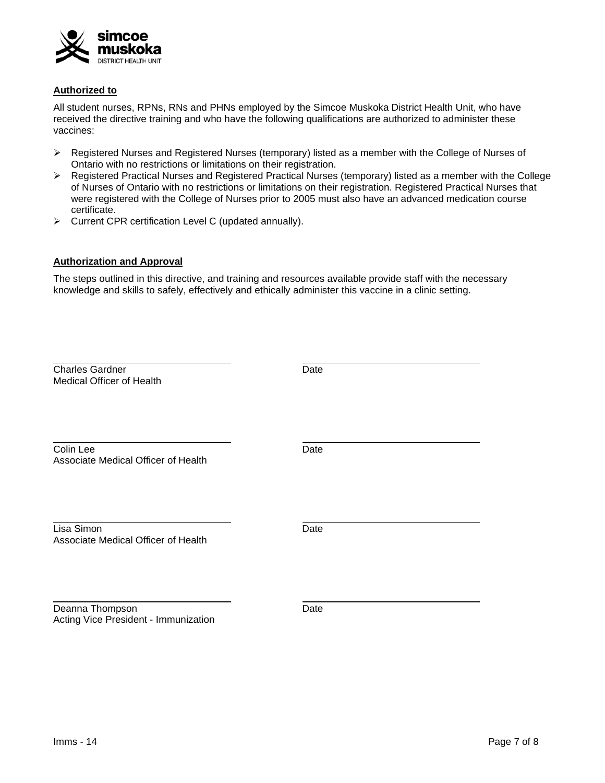

## **Authorized to**

All student nurses, RPNs, RNs and PHNs employed by the Simcoe Muskoka District Health Unit, who have received the directive training and who have the following qualifications are authorized to administer these vaccines:

- $\triangleright$  Registered Nurses and Registered Nurses (temporary) listed as a member with the College of Nurses of Ontario with no restrictions or limitations on their registration.
- $\triangleright$  Registered Practical Nurses and Registered Practical Nurses (temporary) listed as a member with the College of Nurses of Ontario with no restrictions or limitations on their registration. Registered Practical Nurses that were registered with the College of Nurses prior to 2005 must also have an advanced medication course certificate.
- Current CPR certification Level C (updated annually).

# **Authorization and Approval**

The steps outlined in this directive, and training and resources available provide staff with the necessary knowledge and skills to safely, effectively and ethically administer this vaccine in a clinic setting.

| <b>Charles Gardner</b><br>Medical Officer of Health     | Date |  |
|---------------------------------------------------------|------|--|
| Colin Lee<br>Associate Medical Officer of Health        | Date |  |
| Lisa Simon<br>Associate Medical Officer of Health       | Date |  |
| Deanna Thompson<br>Acting Vice President - Immunization | Date |  |